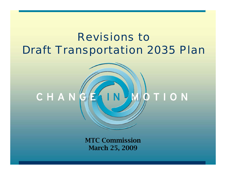# *Revisions to Draft Transportation 2035 Plan*



MTC Commission March 25, 2009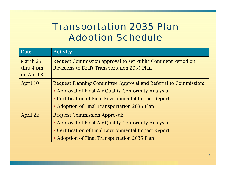### *Transportation 2035 Plan Adoption Schedule*

| <b>Date</b>                                   | <b>Activity</b>                                                                                                                                                                                                                |
|-----------------------------------------------|--------------------------------------------------------------------------------------------------------------------------------------------------------------------------------------------------------------------------------|
| March 25<br>thru $4 \text{ pm}$<br>on April 8 | Request Commission approval to set Public Comment Period on<br><b>Revisions to Draft Transportation 2035 Plan</b>                                                                                                              |
| April 10                                      | Request Planning Committee Approval and Referral to Commission:<br>• Approval of Final Air Quality Conformity Analysis<br>• Certification of Final Environmental Impact Report<br>• Adoption of Final Transportation 2035 Plan |
| April 22                                      | <b>Request Commission Approval:</b><br>• Approval of Final Air Quality Conformity Analysis<br>• Certification of Final Environmental Impact Report<br>• Adoption of Final Transportation 2035 Plan                             |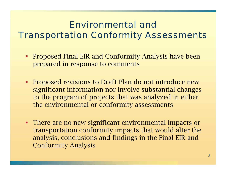#### *Environmental and Transportation Conformity Assessments*

- $\blacksquare$  Proposed Final EIR and Conformity Analysis have been prepared in response to comments
- **Proposed revisions to Draft Plan do not introduce new** significant information nor involve substantial changes to the program of projects that was analyzed in either the environmental or conformity assessments
- **There are no new significant environmental impacts or** transportation conformity impacts that would alter the analysis, conclusions and findings in the Final EIR and Conformity Analysis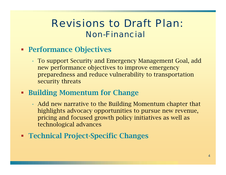### *Revisions to Draft Plan: Non-Financial*

- **Performance Objectives** 
	- • To support Security and Emergency Management Goal, add new performance objectives to improve emergency preparedness and reduce vulnerability to transportation security threats
- **Building Momentum for Change** 
	- • Add new narrative to the Building Momentum chapter that highlights advocacy opportunities to pursue new revenue, pricing and focused growth policy initiatives as well as technological advances
- Technical Project-Specific Changes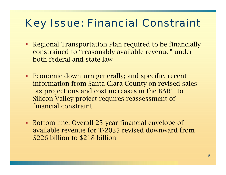# *Key Issue: Financial Constraint*

- **Regional Transportation Plan required to be financially** constrained to "reasonably available revenue" under both federal and state law
- **Economic downturn generally; and specific, recent** information from Santa Clara County on revised sales tax projections and cost increases in the BART to Silicon Valley project requires reassessment of financial constraint
- $\blacksquare$  Bottom line: Overall 25-year financial envelope of available revenue for T-2035 revised downward from \$226 billion to \$218 billion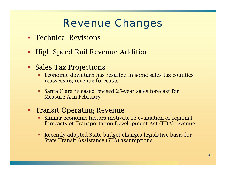# *Revenue Changes*

- **Technical Revisions**
- **High Speed Rail Revenue Addition**
- Sales Tax Projections
	- Economic downturn has resulted in some sales tax counties reassessing revenue forecasts
	- Santa Clara released revised 25-year sales forecast for Measure A in February
- **Transit Operating Revenue** 
	- ▉ Similar economic factors motivate re-evaluation of regional forecasts of Transportation Development Act (TDA) revenue
	- Recently adopted State budget changes legislative basis for State Transit Assistance (STA) assumptions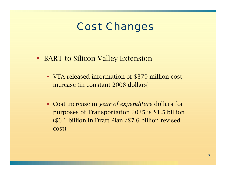## *Cost Changes*

- **BART to Silicon Valley Extension** 
	- VTA released information of \$379 million cost increase (in constant 2008 dollars)
	- Cost increase in *year of expenditure* dollars for purposes of Transportation 2035 is \$1.5 billion (\$6.1 billion in Draft Plan /\$7.6 billion revised cost)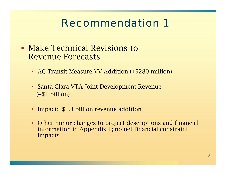- **Make Technical Revisions to** Revenue Forecasts
	- AC Transit Measure VV Addition (+\$280 million)
	- Santa Clara VTA Joint Development Revenue (+\$1 billion)
	- **Impact: \$1.3 billion revenue addition**
	- Other minor changes to project descriptions and financial information in Appendix 1; no net financial constraint impacts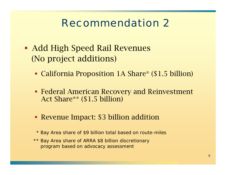- Add High Speed Rail Revenues (No project additions)
	- California Proposition 1A Share\* (\$1.5 billion)
	- Federal American Recovery and Reinvestment Act Share\*\* (\$1.5 billion)
	- Revenue Impact: \$3 billion addition

*\* Bay Area share of \$9 billion total based on route-miles*

*\*\* Bay Area share of ARRA \$8 billion discretionary program based on advocacy assessment*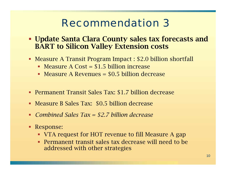- **Update Santa Clara County sales tax forecasts and** BART to Silicon Valley Extension costs
- Measure A Transit Program Impact : \$2.0 billion shortfall
	- Measure A Cost = \$1.5 billion increase
	- Measure A Revenues = \$0.5 billion decrease
- Permanent Transit Sales Tax: \$1.7 billion decrease
- Measure B Sales Tax: \$0.5 billion decrease
- *Combined Sales Tax = \$2.7 billion decrease*
- Response:
	- VTA request for HOT revenue to fill Measure A gap
	- Permanent transit sales tax decrease will need to be addressed with other strategies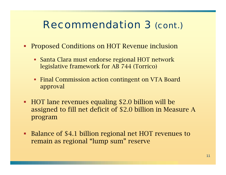# *Recommendation 3 (cont.)*

- Ξ Proposed Conditions on HOT Revenue inclusion
	- Santa Clara must endorse regional HOT network legislative framework for AB 744 (Torrico)
	- **Final Commission action contingent on VTA Board** approval
- HOT lane revenues equaling \$2.0 billion will be assigned to fill net deficit of \$2.0 billion in Measure A program
- Ξ Balance of \$4.1 billion regional net HOT revenues to remain as regional "lump sum" reserve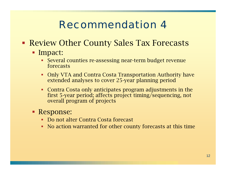- **Review Other County Sales Tax Forecasts** 
	- **Impact:** 
		- Several counties re-assessing near-term budget revenue forecasts
		- П Only VTA and Contra Costa Transportation Authority have extended analyses to cover 25-year planning period
		- Contra Costa only anticipates program adjustments in the first 5-year period; affects project timing/sequencing, not overall program of projects
	- Response:
		- Do not alter Contra Costa forecast
		- No action warranted for other county forecasts at this time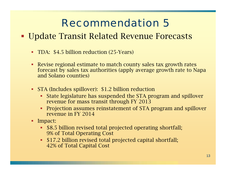#### Update Transit Related Revenue Forecasts

- $\blacksquare$ TDA: \$4.5 billion reduction (25-Years)
- $\blacksquare$  Revise regional estimate to match county sales tax growth rates forecast by sales tax authorities (apply average growth rate to Napa and Solano counties)
- ٠ STA (Includes spillover): \$1.2 billion reduction
	- State legislature has suspended the STA program and spillover revenue for mass transit through FY 2013
	- П Projection assumes reinstatement of STA program and spillover revenue in FY 2014
- **Impact:** 
	- \$8.5 billion revised total projected operating shortfall; 9% of Total Operating Cost
	- \$17.2 billion revised total projected capital shortfall; 42% of Total Capital Cost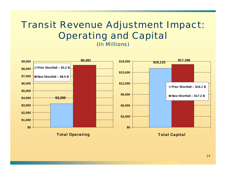#### *Transit Revenue Adjustment Impact: Operating and Capital (In Millions)*

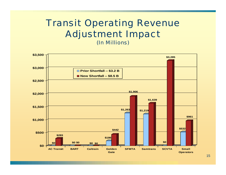#### *Transit Operating Revenue Adjustment Impact (In Millions)*

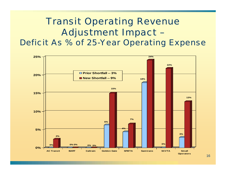#### *Transit Operating Revenue Adjustment Impact – Deficit As % of 25-Year Operating Expense*

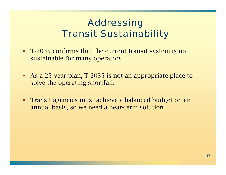- T-2035 confirms that the current transit system is not sustainable for many operators.
- As a 25-year plan, T-2035 is not an appropriate place to solve the operating shortfall.
- $\blacksquare$  . Transit agencies must achieve a balanced budget on an annual basis, so we need a near-term solution.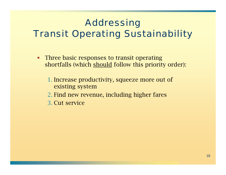# *Addressing*

# *Transit Operating Sustainability*

- $\blacksquare$  Three basic responses to transit operating shortfalls (which should follow this priority order):
	- 1. Increase productivity, squeeze more out of existing system
	- 2. Find new revenue, including higher fares
	- 3. Cut service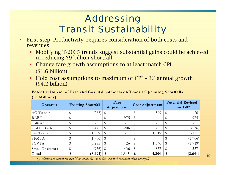- П First step, Productivity, requires consideration of both costs and revenues
	- П Modifying T-2035 trends suggest substantial gains could be achieved in reducing \$9 billion shortfall
	- Change fare growth assumptions to at least match CPI (\$1.6 billion)
	- Hold cost assumptions to maximum of CPI 3% annual growth (\$4.2 billion)

Potential Impact of Fare and Cost Adjustments on Transit Operating Shortfalls **(In Millions)**

| Operator        | <b>Existing Shortfall</b> |          | Fare<br>Adjustment |       | <b>Cost Adjustment</b> |                          | <b>Potential Revised</b><br>Shortfall* |          |
|-----------------|---------------------------|----------|--------------------|-------|------------------------|--------------------------|----------------------------------------|----------|
| AC Transit      |                           | (283)    |                    |       |                        | 309                      |                                        | 26       |
| <b>BART</b>     |                           |          |                    | 975   |                        | $\overline{\phantom{a}}$ |                                        | 975      |
| Caltrain        |                           |          |                    |       |                        | $\equiv$                 |                                        |          |
| Golden Gate     |                           | (442)    |                    | 206   |                        |                          |                                        | (236)    |
| SamTrans        |                           | (1,639)  |                    |       |                        | 1,519                    |                                        | (121)    |
| <b>SFMTA</b>    |                           | (1,906)  |                    |       |                        |                          |                                        | (1,906)  |
| <b>SCVTA</b>    |                           | (3,285)  |                    | 26    |                        | 1,540                    |                                        | (1, 719) |
| Small Operators |                           | (936)    |                    | 436   |                        | 837                      |                                        | 337      |
| Total           | \$                        | (8, 491) | \$                 | 1,643 | \$                     | 4,204                    | \$                                     | (2, 644) |

*\*Any additional surpluses would be available to reduce capital rehabilitation shortfalls*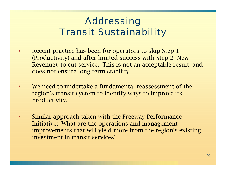- $\blacksquare$  Recent practice has been for operators to skip Step 1 (Productivity) and after limited success with Step 2 (New Revenue), to cut service. This is not an acceptable result, and does not ensure long term stability.
- $\blacksquare$  We need to undertake a fundamental reassessment of the region's transit system to identify ways to improve its productivity.
- п Similar approach taken with the Freeway Performance Initiative: What are the operations and management improvements that will yield more from the region's existing investment in transit services?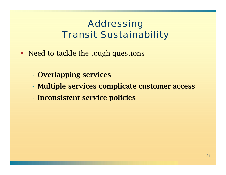- Need to tackle the tough questions
	- •Overlapping services
	- •Multiple services complicate customer access
	- •Inconsistent service policies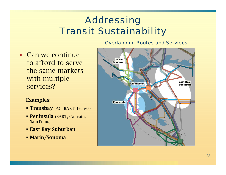#### *Overlapping Routes and Services*

 Can we continue to afford to serve the same markets with multiple services?

#### Examples:

- **Transbay** (AC, BART, ferries)
- **Peninsula** (BART, Caltrain, SamTrans)
- East Bay Suburban
- Marin/Sonoma

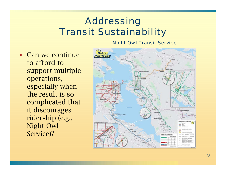*Night Owl Transit Service*

 Can we continue to afford to support multiple operations, especially when the result is so complicated that it discourages ridership (e.g., Night Owl Service)?

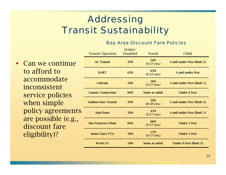#### *Bay Area Discount Fare Policies*

| ıe                 | <b>Transit Operator</b>    | Senior/<br><b>Disabled</b> | Youth                        | Child                         |  |  |
|--------------------|----------------------------|----------------------------|------------------------------|-------------------------------|--|--|
|                    | <b>AC Transit</b>          | 50%                        | 50%<br>$(5-17 \text{ yrs.})$ | 4 and under free (limit 2)    |  |  |
|                    | <b>BART</b>                | 63%                        | 63%<br>$(5-12 \text{ yrs.})$ | 4 and under free              |  |  |
| nts<br>$g_{\cdot}$ | <b>Caltrain</b>            | 50%                        | 50%<br>$(5-17 \text{ yrs.})$ | 4 and under free (limit 1)    |  |  |
|                    | <b>County Connection</b>   | 66%                        | Same as adult                | <b>Under 6 free</b>           |  |  |
|                    | <b>Golden Gate Transit</b> | 50%                        | 50%<br>$(6-18$ yrs.)         | 5 and under free (limit 2)    |  |  |
|                    | <b>SamTrans</b>            | 58%                        | 43%<br>$(5-17 \text{ yrs.})$ | 4 and under free (limit 1)    |  |  |
|                    | <b>San Francisco Muni</b>  | 66%                        | 66%<br>$(5-17 \text{ yrs.})$ | <b>Under 5 free</b>           |  |  |
|                    | <b>Santa Clara VTA</b>     | 58%                        | 15%<br>$(5-17 \text{ yrs.})$ | <b>Under 5 free</b>           |  |  |
|                    | <b>WestCAT</b>             | 58%                        | Same as adult                | <b>Under 6 free (limit 2)</b> |  |  |

 Can we continue to afford to accommodate inconsistent service policies when simple policy agreeme are possible (e. discount fare eligibility)?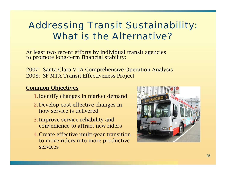### *Addressing Transit Sustainability: What is the Alternative?*

At least two recent efforts by individual transit agencies to promote long-term financial stability:

2007: Santa Clara VTA Comprehensive Operation Analysis 2008: SF MTA Transit Effectiveness Project

#### Common Objectives

- 1.Identify changes in market demand
- 2.Develop cost-effective changes in how service is delivered
- 3.Improve service reliability and convenience to attract new riders
- 4.Create effective multi-year transition to move riders into more productive services

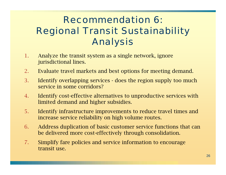# *Recommendation 6:Regional Transit Sustainability Analysis*

- 1. Analyze the transit system as a single network, ignore jurisdictional lines.
- 2.Evaluate travel markets and best options for meeting demand.
- 3. Identify overlapping services does the region supply too much service in some corridors?
- 4. Identify cost-effective alternatives to unproductive services with limited demand and higher subsidies.
- 5. Identify infrastructure improvements to reduce travel times and increase service reliability on high volume routes.
- 6. Address duplication of basic customer service functions that can be delivered more cost-effectively through consolidation.
- 7. Simplify fare policies and service information to encourage transit use.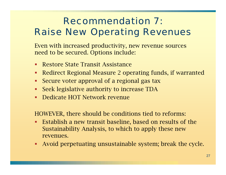# *Recommendation 7:Raise New Operating Revenues*

Even with increased productivity, new revenue sources need to be secured. Options include:

- Restore State Transit Assistance
- $\blacksquare$ Redirect Regional Measure 2 operating funds, if warranted
- $\blacksquare$ Secure voter approval of a regional gas tax
- $\blacksquare$ Seek legislative authority to increase TDA
- $\blacksquare$ Dedicate HOT Network revenue

HOWEVER, there should be conditions tied to reforms:

- **Establish a new transit baseline, based on results of the** Sustainability Analysis, to which to apply these new revenues.
- П Avoid perpetuating unsustainable system; break the cycle.